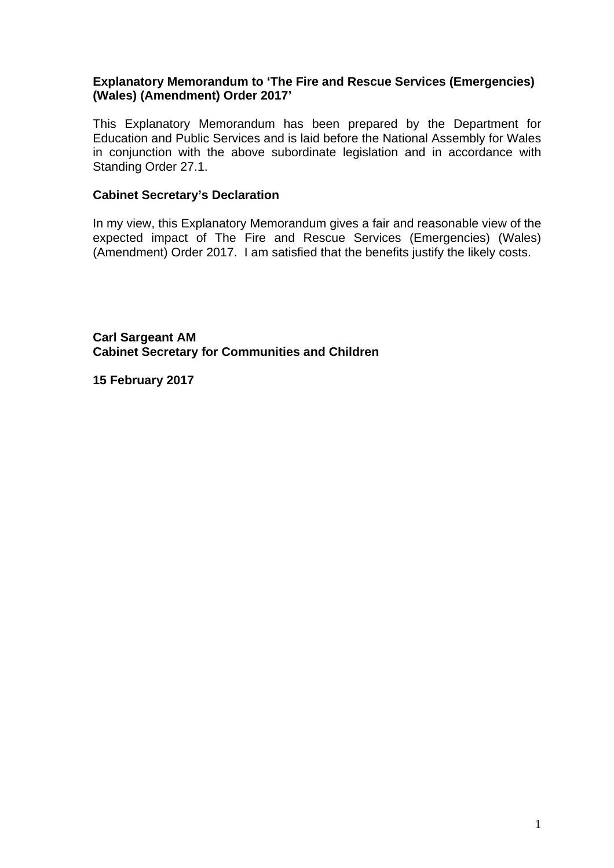### **Explanatory Memorandum to 'The Fire and Rescue Services (Emergencies) (Wales) (Amendment) Order 2017'**

This Explanatory Memorandum has been prepared by the Department for Education and Public Services and is laid before the National Assembly for Wales in conjunction with the above subordinate legislation and in accordance with Standing Order 27.1.

#### **Cabinet Secretary's Declaration**

In my view, this Explanatory Memorandum gives a fair and reasonable view of the expected impact of The Fire and Rescue Services (Emergencies) (Wales) (Amendment) Order 2017.I am satisfied that the benefits justify the likely costs.

**Carl Sargeant AM Cabinet Secretary for Communities and Children** 

**15 February 2017**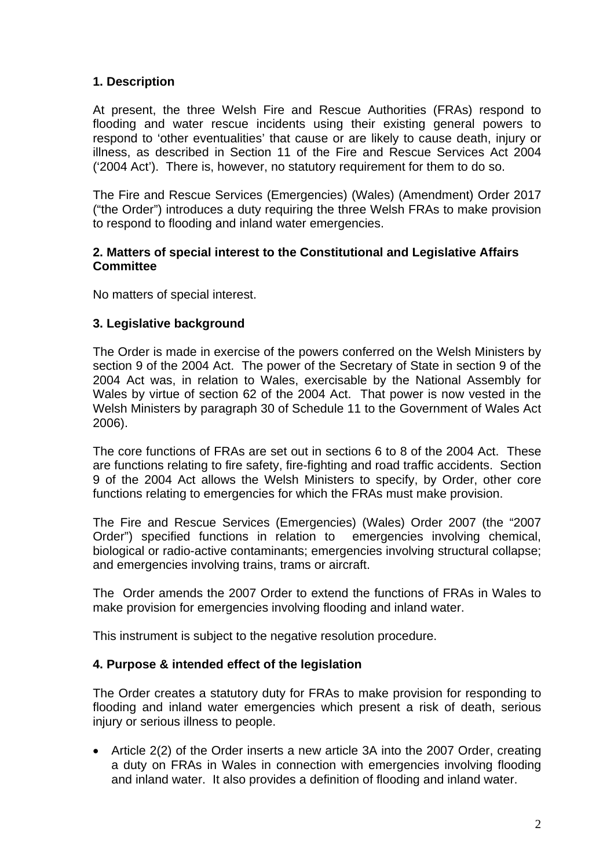# **1. Description**

At present, the three Welsh Fire and Rescue Authorities (FRAs) respond to flooding and water rescue incidents using their existing general powers to respond to 'other eventualities' that cause or are likely to cause death, injury or illness, as described in Section 11 of the Fire and Rescue Services Act 2004 ('2004 Act'). There is, however, no statutory requirement for them to do so.

The Fire and Rescue Services (Emergencies) (Wales) (Amendment) Order 2017 ("the Order") introduces a duty requiring the three Welsh FRAs to make provision to respond to flooding and inland water emergencies.

#### **2. Matters of special interest to the Constitutional and Legislative Affairs Committee**

No matters of special interest.

### **3. Legislative background**

The Order is made in exercise of the powers conferred on the Welsh Ministers by section 9 of the 2004 Act. The power of the Secretary of State in section 9 of the 2004 Act was, in relation to Wales, exercisable by the National Assembly for Wales by virtue of section 62 of the 2004 Act. That power is now vested in the Welsh Ministers by paragraph 30 of Schedule 11 to the Government of Wales Act 2006).

The core functions of FRAs are set out in sections 6 to 8 of the 2004 Act. These are functions relating to fire safety, fire-fighting and road traffic accidents. Section 9 of the 2004 Act allows the Welsh Ministers to specify, by Order, other core functions relating to emergencies for which the FRAs must make provision.

The Fire and Rescue Services (Emergencies) (Wales) Order 2007 (the "2007 Order") specified functions in relation to emergencies involving chemical, biological or radio-active contaminants; emergencies involving structural collapse; and emergencies involving trains, trams or aircraft.

The Order amends the 2007 Order to extend the functions of FRAs in Wales to make provision for emergencies involving flooding and inland water.

This instrument is subject to the negative resolution procedure.

### **4. Purpose & intended effect of the legislation**

The Order creates a statutory duty for FRAs to make provision for responding to flooding and inland water emergencies which present a risk of death, serious injury or serious illness to people.

 Article 2(2) of the Order inserts a new article 3A into the 2007 Order, creating a duty on FRAs in Wales in connection with emergencies involving flooding and inland water. It also provides a definition of flooding and inland water.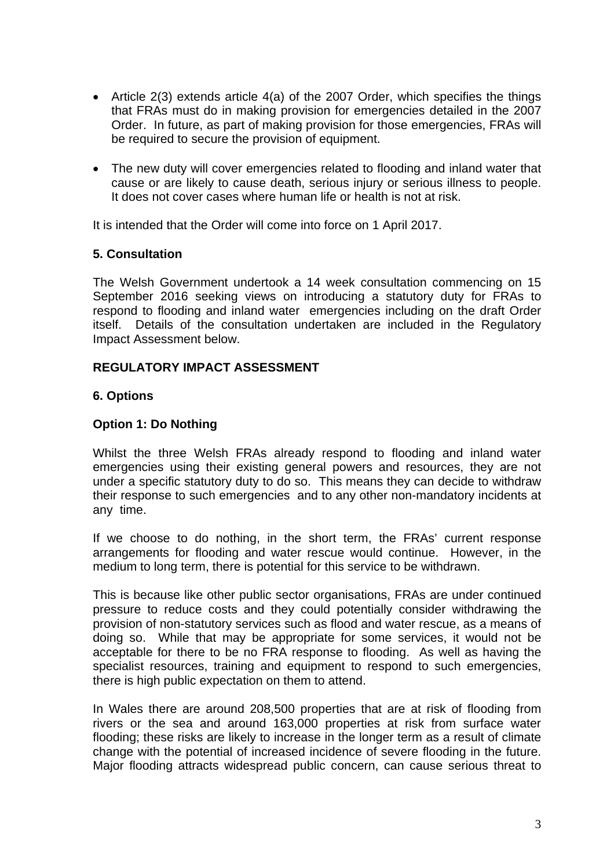- Article 2(3) extends article 4(a) of the 2007 Order, which specifies the things that FRAs must do in making provision for emergencies detailed in the 2007 Order. In future, as part of making provision for those emergencies, FRAs will be required to secure the provision of equipment.
- The new duty will cover emergencies related to flooding and inland water that cause or are likely to cause death, serious injury or serious illness to people. It does not cover cases where human life or health is not at risk.

It is intended that the Order will come into force on 1 April 2017.

# **5. Consultation**

The Welsh Government undertook a 14 week consultation commencing on 15 September 2016 seeking views on introducing a statutory duty for FRAs to respond to flooding and inland water emergencies including on the draft Order itself. Details of the consultation undertaken are included in the Regulatory Impact Assessment below.

# **REGULATORY IMPACT ASSESSMENT**

### **6. Options**

# **Option 1: Do Nothing**

Whilst the three Welsh FRAs already respond to flooding and inland water emergencies using their existing general powers and resources, they are not under a specific statutory duty to do so. This means they can decide to withdraw their response to such emergencies and to any other non-mandatory incidents at any time.

If we choose to do nothing, in the short term, the FRAs' current response arrangements for flooding and water rescue would continue. However, in the medium to long term, there is potential for this service to be withdrawn.

This is because like other public sector organisations, FRAs are under continued pressure to reduce costs and they could potentially consider withdrawing the provision of non-statutory services such as flood and water rescue, as a means of doing so. While that may be appropriate for some services, it would not be acceptable for there to be no FRA response to flooding. As well as having the specialist resources, training and equipment to respond to such emergencies, there is high public expectation on them to attend.

In Wales there are around 208,500 properties that are at risk of flooding from rivers or the sea and around 163,000 properties at risk from surface water flooding; these risks are likely to increase in the longer term as a result of climate change with the potential of increased incidence of severe flooding in the future. Major flooding attracts widespread public concern, can cause serious threat to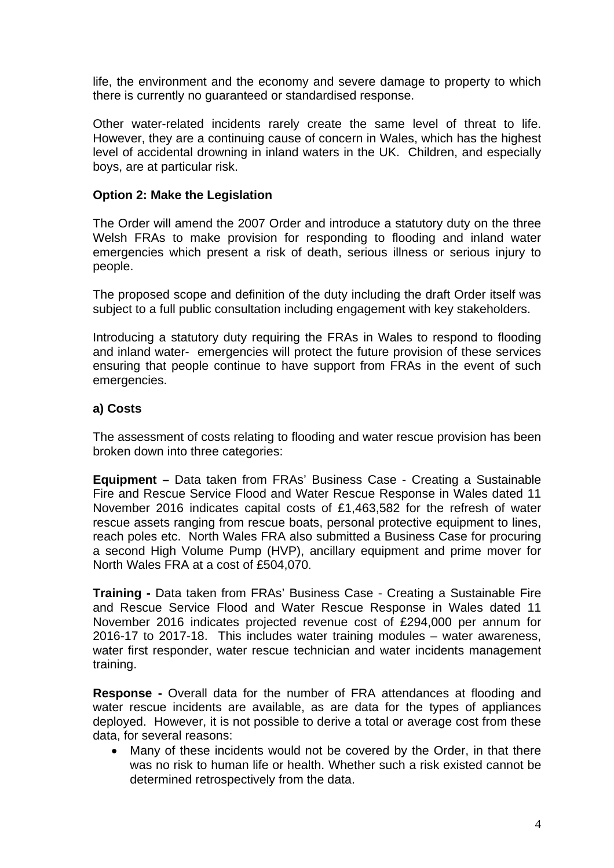life, the environment and the economy and severe damage to property to which there is currently no guaranteed or standardised response.

Other water-related incidents rarely create the same level of threat to life. However, they are a continuing cause of concern in Wales, which has the highest level of accidental drowning in inland waters in the UK. Children, and especially boys, are at particular risk.

### **Option 2: Make the Legislation**

The Order will amend the 2007 Order and introduce a statutory duty on the three Welsh FRAs to make provision for responding to flooding and inland water emergencies which present a risk of death, serious illness or serious injury to people.

The proposed scope and definition of the duty including the draft Order itself was subject to a full public consultation including engagement with key stakeholders.

Introducing a statutory duty requiring the FRAs in Wales to respond to flooding and inland water- emergencies will protect the future provision of these services ensuring that people continue to have support from FRAs in the event of such emergencies.

# **a) Costs**

The assessment of costs relating to flooding and water rescue provision has been broken down into three categories:

**Equipment –** Data taken from FRAs' Business Case - Creating a Sustainable Fire and Rescue Service Flood and Water Rescue Response in Wales dated 11 November 2016 indicates capital costs of £1,463,582 for the refresh of water rescue assets ranging from rescue boats, personal protective equipment to lines, reach poles etc. North Wales FRA also submitted a Business Case for procuring a second High Volume Pump (HVP), ancillary equipment and prime mover for North Wales FRA at a cost of £504,070.

**Training -** Data taken from FRAs' Business Case - Creating a Sustainable Fire and Rescue Service Flood and Water Rescue Response in Wales dated 11 November 2016 indicates projected revenue cost of £294,000 per annum for 2016-17 to 2017-18. This includes water training modules – water awareness, water first responder, water rescue technician and water incidents management training.

**Response -** Overall data for the number of FRA attendances at flooding and water rescue incidents are available, as are data for the types of appliances deployed. However, it is not possible to derive a total or average cost from these data, for several reasons:

 Many of these incidents would not be covered by the Order, in that there was no risk to human life or health. Whether such a risk existed cannot be determined retrospectively from the data.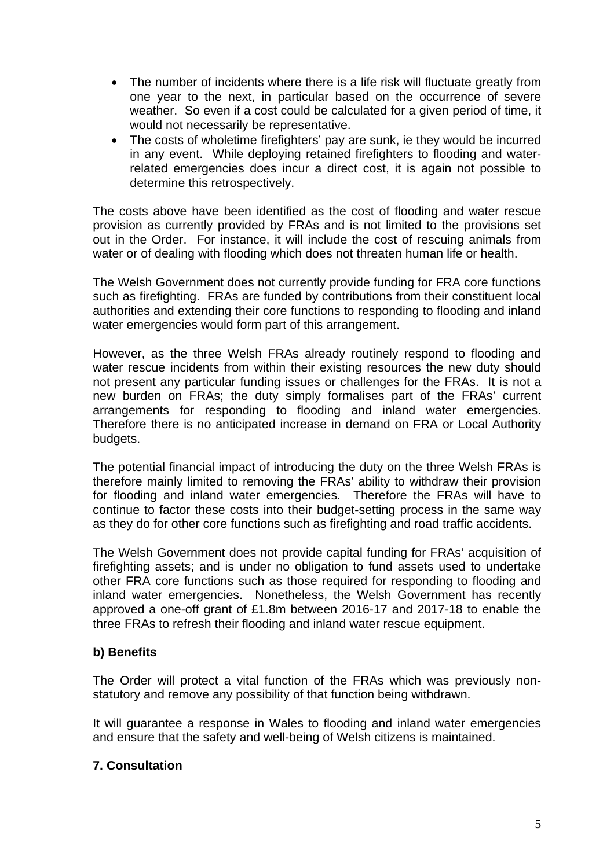- The number of incidents where there is a life risk will fluctuate greatly from one year to the next, in particular based on the occurrence of severe weather. So even if a cost could be calculated for a given period of time, it would not necessarily be representative.
- The costs of wholetime firefighters' pay are sunk, ie they would be incurred in any event. While deploying retained firefighters to flooding and waterrelated emergencies does incur a direct cost, it is again not possible to determine this retrospectively.

The costs above have been identified as the cost of flooding and water rescue provision as currently provided by FRAs and is not limited to the provisions set out in the Order. For instance, it will include the cost of rescuing animals from water or of dealing with flooding which does not threaten human life or health.

The Welsh Government does not currently provide funding for FRA core functions such as firefighting. FRAs are funded by contributions from their constituent local authorities and extending their core functions to responding to flooding and inland water emergencies would form part of this arrangement.

However, as the three Welsh FRAs already routinely respond to flooding and water rescue incidents from within their existing resources the new duty should not present any particular funding issues or challenges for the FRAs. It is not a new burden on FRAs; the duty simply formalises part of the FRAs' current arrangements for responding to flooding and inland water emergencies. Therefore there is no anticipated increase in demand on FRA or Local Authority budgets.

The potential financial impact of introducing the duty on the three Welsh FRAs is therefore mainly limited to removing the FRAs' ability to withdraw their provision for flooding and inland water emergencies. Therefore the FRAs will have to continue to factor these costs into their budget-setting process in the same way as they do for other core functions such as firefighting and road traffic accidents.

The Welsh Government does not provide capital funding for FRAs' acquisition of firefighting assets; and is under no obligation to fund assets used to undertake other FRA core functions such as those required for responding to flooding and inland water emergencies. Nonetheless, the Welsh Government has recently approved a one-off grant of £1.8m between 2016-17 and 2017-18 to enable the three FRAs to refresh their flooding and inland water rescue equipment.

# **b) Benefits**

The Order will protect a vital function of the FRAs which was previously nonstatutory and remove any possibility of that function being withdrawn.

It will guarantee a response in Wales to flooding and inland water emergencies and ensure that the safety and well-being of Welsh citizens is maintained.

### **7. Consultation**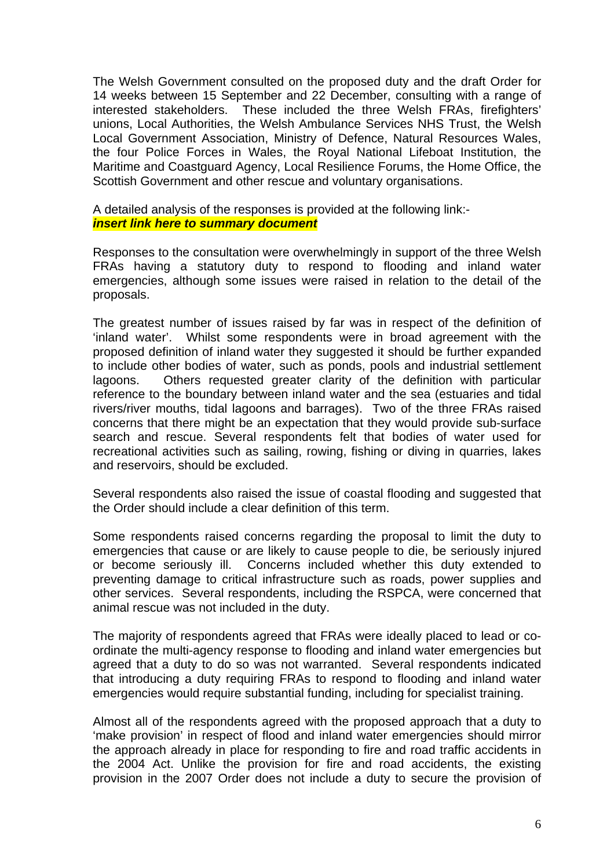The Welsh Government consulted on the proposed duty and the draft Order for 14 weeks between 15 September and 22 December, consulting with a range of interested stakeholders. These included the three Welsh FRAs, firefighters' unions, Local Authorities, the Welsh Ambulance Services NHS Trust, the Welsh Local Government Association, Ministry of Defence, Natural Resources Wales, the four Police Forces in Wales, the Royal National Lifeboat Institution, the Maritime and Coastguard Agency, Local Resilience Forums, the Home Office, the Scottish Government and other rescue and voluntary organisations.

A detailed analysis of the responses is provided at the following link: *insert link here to summary document* 

Responses to the consultation were overwhelmingly in support of the three Welsh FRAs having a statutory duty to respond to flooding and inland water emergencies, although some issues were raised in relation to the detail of the proposals.

The greatest number of issues raised by far was in respect of the definition of 'inland water'. Whilst some respondents were in broad agreement with the proposed definition of inland water they suggested it should be further expanded to include other bodies of water, such as ponds, pools and industrial settlement lagoons. Others requested greater clarity of the definition with particular reference to the boundary between inland water and the sea (estuaries and tidal rivers/river mouths, tidal lagoons and barrages). Two of the three FRAs raised concerns that there might be an expectation that they would provide sub-surface search and rescue. Several respondents felt that bodies of water used for recreational activities such as sailing, rowing, fishing or diving in quarries, lakes and reservoirs, should be excluded.

Several respondents also raised the issue of coastal flooding and suggested that the Order should include a clear definition of this term.

Some respondents raised concerns regarding the proposal to limit the duty to emergencies that cause or are likely to cause people to die, be seriously injured or become seriously ill. Concerns included whether this duty extended to preventing damage to critical infrastructure such as roads, power supplies and other services. Several respondents, including the RSPCA, were concerned that animal rescue was not included in the duty.

The majority of respondents agreed that FRAs were ideally placed to lead or coordinate the multi-agency response to flooding and inland water emergencies but agreed that a duty to do so was not warranted. Several respondents indicated that introducing a duty requiring FRAs to respond to flooding and inland water emergencies would require substantial funding, including for specialist training.

Almost all of the respondents agreed with the proposed approach that a duty to 'make provision' in respect of flood and inland water emergencies should mirror the approach already in place for responding to fire and road traffic accidents in the 2004 Act. Unlike the provision for fire and road accidents, the existing provision in the 2007 Order does not include a duty to secure the provision of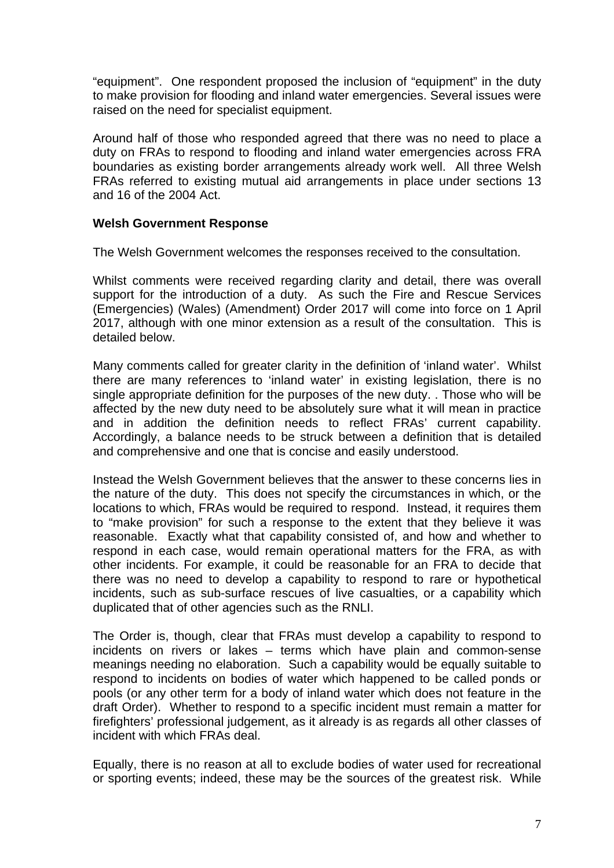"equipment". One respondent proposed the inclusion of "equipment" in the duty to make provision for flooding and inland water emergencies. Several issues were raised on the need for specialist equipment.

Around half of those who responded agreed that there was no need to place a duty on FRAs to respond to flooding and inland water emergencies across FRA boundaries as existing border arrangements already work well. All three Welsh FRAs referred to existing mutual aid arrangements in place under sections 13 and 16 of the 2004 Act.

#### **Welsh Government Response**

The Welsh Government welcomes the responses received to the consultation.

Whilst comments were received regarding clarity and detail, there was overall support for the introduction of a duty. As such the Fire and Rescue Services (Emergencies) (Wales) (Amendment) Order 2017 will come into force on 1 April 2017, although with one minor extension as a result of the consultation. This is detailed below.

Many comments called for greater clarity in the definition of 'inland water'. Whilst there are many references to 'inland water' in existing legislation, there is no single appropriate definition for the purposes of the new duty. . Those who will be affected by the new duty need to be absolutely sure what it will mean in practice and in addition the definition needs to reflect FRAs' current capability. Accordingly, a balance needs to be struck between a definition that is detailed and comprehensive and one that is concise and easily understood.

Instead the Welsh Government believes that the answer to these concerns lies in the nature of the duty. This does not specify the circumstances in which, or the locations to which, FRAs would be required to respond. Instead, it requires them to "make provision" for such a response to the extent that they believe it was reasonable. Exactly what that capability consisted of, and how and whether to respond in each case, would remain operational matters for the FRA, as with other incidents. For example, it could be reasonable for an FRA to decide that there was no need to develop a capability to respond to rare or hypothetical incidents, such as sub-surface rescues of live casualties, or a capability which duplicated that of other agencies such as the RNLI.

The Order is, though, clear that FRAs must develop a capability to respond to incidents on rivers or lakes – terms which have plain and common-sense meanings needing no elaboration. Such a capability would be equally suitable to respond to incidents on bodies of water which happened to be called ponds or pools (or any other term for a body of inland water which does not feature in the draft Order). Whether to respond to a specific incident must remain a matter for firefighters' professional judgement, as it already is as regards all other classes of incident with which FRAs deal.

Equally, there is no reason at all to exclude bodies of water used for recreational or sporting events; indeed, these may be the sources of the greatest risk. While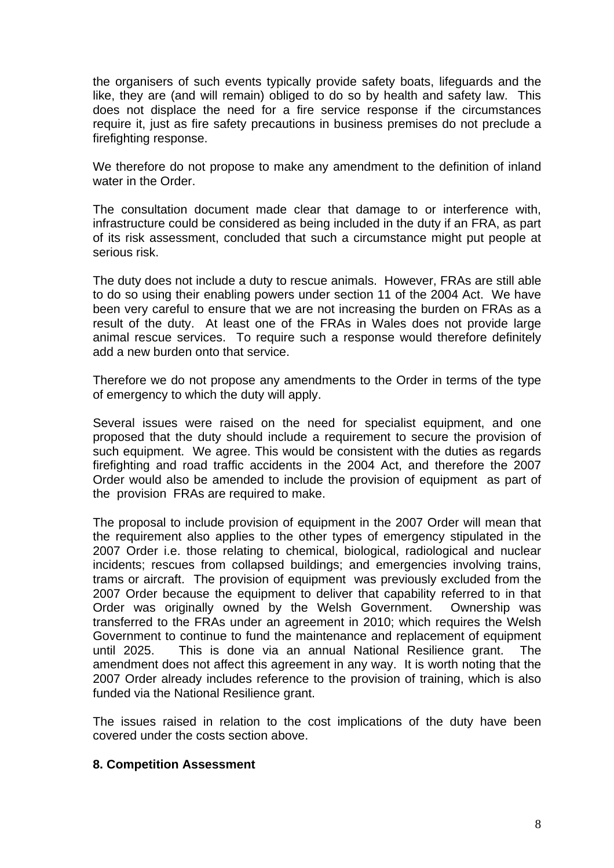the organisers of such events typically provide safety boats, lifeguards and the like, they are (and will remain) obliged to do so by health and safety law. This does not displace the need for a fire service response if the circumstances require it, just as fire safety precautions in business premises do not preclude a firefighting response.

We therefore do not propose to make any amendment to the definition of inland water in the Order.

The consultation document made clear that damage to or interference with, infrastructure could be considered as being included in the duty if an FRA, as part of its risk assessment, concluded that such a circumstance might put people at serious risk.

The duty does not include a duty to rescue animals. However, FRAs are still able to do so using their enabling powers under section 11 of the 2004 Act. We have been very careful to ensure that we are not increasing the burden on FRAs as a result of the duty. At least one of the FRAs in Wales does not provide large animal rescue services. To require such a response would therefore definitely add a new burden onto that service.

Therefore we do not propose any amendments to the Order in terms of the type of emergency to which the duty will apply.

Several issues were raised on the need for specialist equipment, and one proposed that the duty should include a requirement to secure the provision of such equipment. We agree. This would be consistent with the duties as regards firefighting and road traffic accidents in the 2004 Act, and therefore the 2007 Order would also be amended to include the provision of equipment as part of the provision FRAs are required to make.

The proposal to include provision of equipment in the 2007 Order will mean that the requirement also applies to the other types of emergency stipulated in the 2007 Order i.e. those relating to chemical, biological, radiological and nuclear incidents; rescues from collapsed buildings; and emergencies involving trains, trams or aircraft. The provision of equipment was previously excluded from the 2007 Order because the equipment to deliver that capability referred to in that Order was originally owned by the Welsh Government. Ownership was transferred to the FRAs under an agreement in 2010; which requires the Welsh Government to continue to fund the maintenance and replacement of equipment until 2025. This is done via an annual National Resilience grant. The amendment does not affect this agreement in any way. It is worth noting that the 2007 Order already includes reference to the provision of training, which is also funded via the National Resilience grant.

The issues raised in relation to the cost implications of the duty have been covered under the costs section above.

### **8. Competition Assessment**